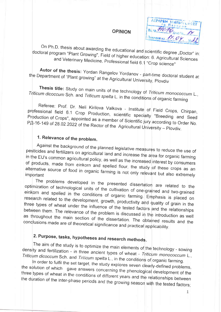#### **OPINION**

AIPAPEN VHMBFILDI гр. Плендин BX No 710 pg Получене на.

On Ph.D. thesis about awarding the educational and scientific degree "Doctor" in: doctoral program "Plant Growing", Field of higher education: 6. Agricultural Sciences and Veterinary Medicine, Professional field 6.1 "Crop science"

Autor of the thesis: Yordan Rangelov Yordanov - part-time doctoral student at the Department of "Plant growing" at the Agricultural University, Plovdiv

Thesis title: Study on main units of the technology of Triticum monococcum L., Triticum dicoccum Sch. and Triticum spelta L. in the conditions of organic farming

Referee: Prof. Dr. Neli Kirilova Valkova - Institute of Field Crops, Chirpan, professional field 6.1 Crop Production, scientific specialty "Breeding and Seed Production of Crops", appointed as a member of Scientific jury according to Order No. РД-16-149 of 28.02.2022 of the Rector of the Agricultural University - Plovdiv.

### 1. Relevance of the problem.

Against the background of the planned legislative measures to reduce the use of pesticides and fertilizers on agricultural land and increase the area for organic farming in the EU's common agricultural policy, as well as the increased interest by consumers of products, made from einkorn and spelled flour, the study of these crops as an alternative source of food in organic farming is not only relevant but also extremely

The problems developed in the presented dissertation are related to the optimization of technological units of the cultivation of one-grained and two-grained einkorn and spelled in the conditions of organic farming. Emphasis is placed on research related to the development, growth, productivity and quality of grain in the three types of wheat under the influence of the tested factors and the relationships between them. The relevance of the problem is discussed in the introduction as well as throughout the main section of the dissertation. The obtained results and the conclusions made are of theoretical significance and practical applicability.

# 2. Purpose, tasks, hypotheses and research methods.

The aim of the study is to optimize the main elements of the technology - sowing density and fertilization - in three ancient types of wheat - Triticum monococcum L., Triticum dicoccum Sch. and Triticum spelta L., in the conditions of organic farming.

In order to fulfil the set target, the study explores seven clearly-defined problems, the solution of which gave answers concerning the phenological development of the three types of wheat in the conditions of different years and the relationships between the duration of the inter-phase periods and the growing season with the tested factors;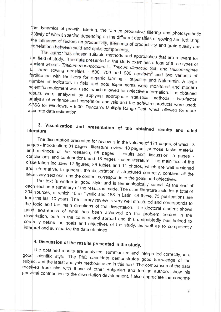the dynamics of growth, tillering, the formed productive tillering and photosynthetic activity of wheat species depending on the different densities of sowing and fertilizing; the influence of factors on productivity, elements of productivity and grain quality and correlations between yield and spike components.

The author has chosen suitable methods and approaches that are relevant for the field of study.. The data presented in the study examines a total of three types of ancient wheat - Triticum monococcum L., Triticum dicoccum Sch. and Triticum spelta L., three sowing densities - 500, 700 and 900 seeds/m<sup>2</sup> and two variants of fertilization with fertilizers for organic farming - Italpolina and Naturamin. A large number of indicators in field and pots experiments were monitored and modern scientific equipment was used, which allowed for objective information. The obtained results were analyzed by applying appropriate statistical methods - two-factor analysis of variance and correlation analysis and the software products were used: SPSS for Windows, v 9.00; Duncan's Multiple Range Test, which allowed for more accurate data estimation.

### 3. Visualization and presentation of the obtained results and cited literature.

The dissertation presented for review is in the volume of 171 pages, of which: 3 pages - introduction; 31 pages - literature review; 18 pages - purpose, tasks, material and methods of the research; 95 pages - results and discussion; 5 pages conclusions and contributions and 18 pages - used literature. The main text of the dissertation includes 12 figures, 86 tables and 11 photos, which are well designed and informative. In general, the dissertation is structured correctly, contains all the necessary sections, and the content corresponds to the goals and objectives.

The text is written in good style and is terminologically sound. At the end of each section a summary of the results is made. The cited literature includes a total of 204 sources, of which 16 in Cyrillic and 188 in Latin. Of these, 75 publications are from the last 10 years. The literary review is very well structured and corresponds to the topic and the main directions of the dissertation. The doctoral student shows good awareness of what has been achieved on the problem treated in the dissertation, both in the country and abroad and this undoubtedly has helped to correctly define the goals and objectives of the study, as well as to competently interpret and summarize the data obtained.

# 4. Discussion of the results presented in the study.

The obtained results are analyzed, summarized and interpreted correctly, in a good scientific style. The PhD candidate demonstrates good knowledge of the subject and the latest analysis methods used in this field. The comparison of the data received from him with those of other Bulgarian and foreign authors show his personal contribution to the dissertation development. I also appreciate the concrete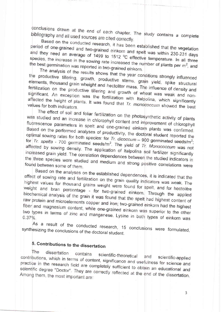conclusions drawn at the end of each chapter. The study contains a complete bibliography and all used sources are cited correctly.

Based on the conducted research, it has been established that the vegetation period of one-grained and two-grained einkorn and spelt was within 230-231 days and they need an average of 1499 to 1512 °C effective temperature. In all three species, the increase in the sowing rate increased the number of plants per  $m^2$ , and the best germination was reported in two-grained einkorn.

The analysis of the results shows that the year conditions strongly influenced the productive tillering, growth, productive stems, grain yield, spike structural elements, thousand grain wheight and hectoliter mass. The influence of density and fertilization on the productive tillering and growth of wheat was weak and nonsignificant. An exception was the fertilization with Italpolina, which significantly affected the height of plants. It was found that Tr. monococcum showed the best

The effect of soil and foliar fertilization on the photosynthetic activity of plants was studied and an increase in chlorophyll content and improvement of chlorophyll fluorescence parameters in spelt and one-grained einkorn plants was confirmed. Based on the performed analyses of productivity, the doctoral student reported the optimal sowing rates for both species: for  $Tr$  dicoccum - 900 germinated seeds/m<sup>2</sup>; for  $Tr.$  spelta - 700 germinated seeds/ $m^2$ . The yield of  $Tr.$  Monococcum was not affected by sowing density. The application of Italpolina soil fertilizer significantly increased grain yield. The correlation dependences between the studied indicators in the three species were studied and medium and strong positive correlations were found between some of them.

Based on the analyses on the established dependences, it is indicated that the effect of sowing rate and fertilization on the grain quality indicators was weak. The highest values for thousand grains weight were found for spelt, and for hectolitre weight and bran percentage - for two-grained einkorn. Through the applied biochemical analysis of the grain it was found that the spelt had highest content of raw protein and microelements copper and iron; two-grained einkorn had the highest fiber and magnesium content, while one-grained einkorn was superior to the other two types in terms of zinc and manganese. Lysine in both types of einkorn was

As a result of the conducted research, 15 conclusions were formulated, synthesizing the conclusions of the doctoral student.

# 5. Contributions to the dissertation

The dissertation contains scientific-theoretical contributions, which in terms of content, significance and usefulness for science and practice in the research field are completely sufficient to obtain an educational and scientific degree "Doctor". They are correctly reflected at the end of the dissertation. Among them, the most important are: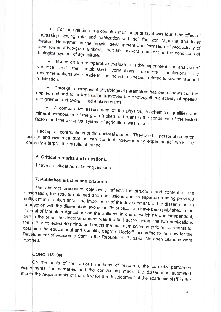For the first time in a complex multifactor study it was found the effect of  $\bullet$ increasing sowing rate and fertilization with soil fertilizer Italpolina and foliar fertilizer Naturamin on the growth, development and formation of productivity of local forms of two-grain einkorn, spelt and one-grain einkorn, in the conditions of biological system of agriculture.

Based on the comparative evaluation in the experiment, the analysis of  $\bullet$ variance established correlations, recommendations were made for the individual species, related to sowing rate and concrete and

Through a complex of physiological parameters has been shown that the  $\bullet$ applied soil and foliar fertilization improved the photosynthetic activity of spelled, one-grained and two-grained einkorn plants.

A comparative assessment of the physical, biochemical qualities and mineral composition of the grain (naked and bran) in the conditions of the tested factors and the biological system of agriculture was made.

I accept all contributions of the doctoral student. They are his personal research activity and evidence that he can conduct independently experimental work and correctly interpret the results obtained.

# 6. Critical remarks and questions.

I have no critical remarks or questions.

# 7. Published articles and citations.

The abstract presented objectively reflects the structure and content of the dissertation, the results obtained and conclusions and its separate reading provides sufficient information about the importance of the development. of the dissertation. In connection with the dissertation, two scientific publications have been published in the Journal of Mountain Agriculture on the Balkans, in one of which he was independent, and in the other the doctoral student was the first author. From the two publications the author collected 40 points and meets the minimum scientometric requirements for obtaining the educational and scientific degree "Doctor", according to the Law for the Development of Academic Staff in the Republic of Bulgaria. No open citations were reported.

### **CONCLUSION**

On the basis of the various methods of research, the correctly performed experiments, the sumaries and the conclusions made, the dissertation submitted meets the requirements of the a law for the development of the academic staff in the